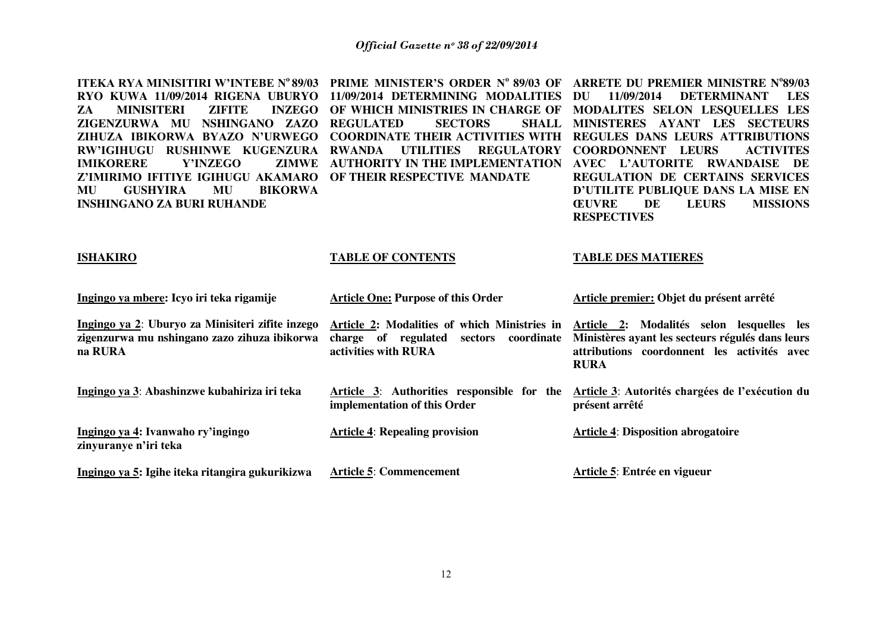**ITEKA RYA MINISITIRI W'INTEBE No 89/03 PRIME MINISTER'S ORDER No 89/03 OF ARRETE DU PREMIER MINISTRE N<sup>o</sup> 89/03 RYO KUWA 11/09/2014 RIGENA UBURYO 11/09/2014 DETERMINING MODALITIES ZA MINISITERI ZIFITE ZIGENZURWA MU NSHINGANO ZAZO REGULATED SECTORS SHALL ZIHUZA IBIKORWA BYAZO N'URWEGO COORDINATE THEIR ACTIVITIES WITH REGULES DANS LEURS ATTRIBUTIONS**  RW'IGIHUGU RUSHINWE KUGENZURA RWANDA UTILITIES REGULATORY COORDONNENT LEURS ACTIVITES **IMIKORERE Y'INZEGO Z'IMIRIMO IFITIYE IGIHUGU AKAMARO OF THEIR RESPECTIVE MANDATE MU GUSHYIRA MU BIKORWA INSHINGANO ZA BURI RUHANDE ISHAKIRO Ingingo ya mbere: Icyo iri teka rigamije Ingingo ya 2**: **Uburyo za Minisiteri zifite inzego zigenzurwa mu nshingano zazo zihuza ibikorwa na RURA Ingingo ya 3**: **Abashinzwe kubahiriza iri teka Ingingo ya 4: Ivanwaho ry'ingingo zinyuranye n'iri teka Ingingo ya 5: Igihe iteka ritangira gukurikizwa OF WHICH MINISTRIES IN CHARGE OF MODALITES SELON LESQUELLES LES AUTHORITY IN THE IMPLEMENTATION AVEC L'AUTORITE RWANDAISE DE TABLE OF CONTENTS Article One: Purpose of this Order Article 2: Modalities of which Ministries in charge of regulated sectors coordinate Ministères ayant les secteurs régulés dans leurs activities with RURA Article 3**: **Authorities responsible for the implementation of this Order Article 4**: **Repealing provision Article 5**: **Commencement 11/09/2014 DETERMINANT LES MINISTERES AYANT LES SECTEURS REGULATION DE CERTAINS SERVICES D'UTILITE PUBLIQUE DANS LA MISE EN ŒUVRE DE LEURS MISSIONS RESPECTIVES TABLE DES MATIERES Article premier: Objet du présent arrêté Article 2: Modalités selon lesquelles les attributions coordonnent les activités avec RURA Article 3**: **Autorités chargées de l'exécution du présent arrêté Article 4**: **Disposition abrogatoire Article 5**: **Entrée en vigueur**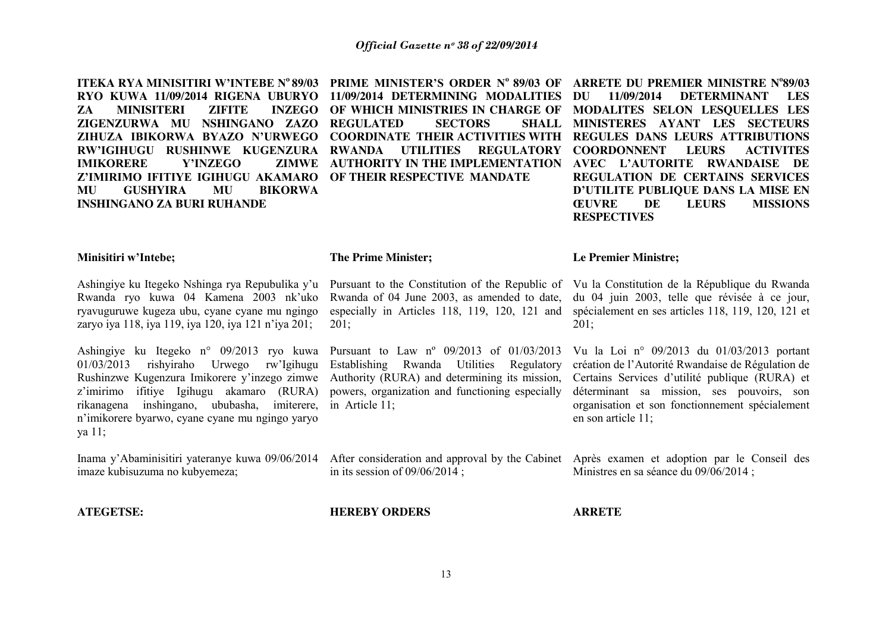**RYO KUWA 11/09/2014 RIGENA UBURYO 11/09/2014 DETERMINING MODALITIES ZA MINISITERI ZIFITE ZIGENZURWA MU NSHINGANO ZAZO REGULATED SECTORS SHALL ZIHUZA IBIKORWA BYAZO N'URWEGO COORDINATE THEIR ACTIVITIES WITH REGULES DANS LEURS ATTRIBUTIONS**  RW'IGIHUGU RUSHINWE KUGENZURA RWANDA UTILITIES REGULATORY COORDONNENT LEURS ACTIVITES **IMIKORERE Y'INZEGO Z'IMIRIMO IFITIYE IGIHUGU AKAMARO OF THEIR RESPECTIVE MANDATE MU GUSHYIRA MU BIKORWA INSHINGANO ZA BURI RUHANDE** 

Rwanda of 04 June 2003, as amended to date,

Pursuant to Law nº 09/2013 of 01/03/2013 Establishing Rwanda Utilities Regulatory Authority (RURA) and determining its mission, powers, organization and functioning especially

**ITEKA RYA MINISITIRI W'INTEBE No 89/03 PRIME MINISTER'S ORDER No 89/03 OF ARRETE DU PREMIER MINISTRE No 89/03 OF WHICH MINISTRIES IN CHARGE OF MODALITES SELON LESQUELLES LES AUTHORITY IN THE IMPLEMENTATION AVEC L'AUTORITE RWANDAISE DE DU 11/09/2014 DETERMINANT LES MINISTERES AYANT LES SECTEURS REGULATION DE CERTAINS SERVICES D'UTILITE PUBLIQUE DANS LA MISE EN ŒUVRE DE LEURS MISSIONS RESPECTIVES**

#### **Minisitiri w'Intebe;**

**ATEGETSE:**

Ashingiye ku Itegeko Nshinga rya Repubulika y'u Rwanda ryo kuwa 04 Kamena 2003 nk'uko ryavuguruwe kugeza ubu, cyane cyane mu ngingo zaryo iya 118, iya 119, iya 120, iya 121 n'iya 201;

Ashingiye ku Itegeko n° 09/2013 ryo kuwa 01/03/2013 rishyiraho Urwego rw'Igihugu Rushinzwe Kugenzura Imikorere y'inzego zimwe z'imirimo ifitiye Igihugu akamaro (RURA) rikanagena inshingano, ububasha, imiterere, n'imikorere byarwo, cyane cyane mu ngingo yaryo ya 11;

Inama y'Abaminisitiri yateranye kuwa 09/06/2014 After consideration and approval by the Cabinet imaze kubisuzuma no kubyemeza;

**HEREBY ORDERS**

in its session of 09/06/2014 ;

**The Prime Minister;** 

201;

in Article 11;

**ARRETE** 

13

#### **Le Premier Ministre;**

Pursuant to the Constitution of the Republic of Vu la Constitution de la République du Rwanda especially in Articles 118, 119, 120, 121 and spécialement en ses articles 118, 119, 120, 121 et du 04 juin 2003, telle que révisée à ce jour, 201;

> Vu la Loi n° 09/2013 du 01/03/2013 portant création de l'Autorité Rwandaise de Régulation de Certains Services d'utilité publique (RURA) et déterminant sa mission, ses pouvoirs, son organisation et son fonctionnement spécialement en son article 11;

> Après examen et adoption par le Conseil des Ministres en sa séance du 09/06/2014 ;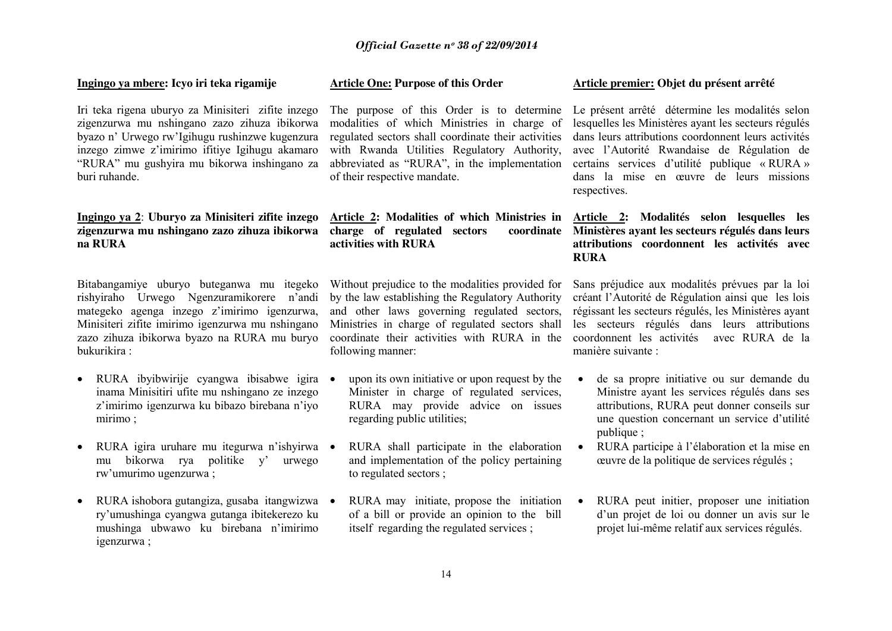#### **Ingingo ya mbere: Icyo iri teka rigamije**

Iri teka rigena uburyo za Minisiteri zifite inzego zigenzurwa mu nshingano zazo zihuza ibikorwa byazo n' Urwego rw'Igihugu rushinzwe kugenzura inzego zimwe z'imirimo ifitiye Igihugu akamaro "RURA" mu gushyira mu bikorwa inshingano za buri ruhande.

## **Ingingo ya 2**: **Uburyo za Minisiteri zifite inzego zigenzurwa mu nshingano zazo zihuza ibikorwa na RURA**

Bitabangamiye uburyo buteganwa mu itegeko rishyiraho Urwego Ngenzuramikorere n'andi mategeko agenga inzego z'imirimo igenzurwa, Minisiteri zifite imirimo igenzurwa mu nshingano zazo zihuza ibikorwa byazo na RURA mu buryo bukurikira :

- RURA ibyibwirije cyangwa ibisabwe igira inama Minisitiri ufite mu nshingano ze inzego z'imirimo igenzurwa ku bibazo birebana n'iyo mirimo ;
- RURA igira uruhare mu itegurwa n'ishyirwa mu bikorwa rya politike y' urwego rw'umurimo ugenzurwa ;
- RURA ishobora gutangiza, gusaba itangwizwa ry'umushinga cyangwa gutanga ibitekerezo ku mushinga ubwawo ku birebana n'imirimo igenzurwa ;

#### **Article One: Purpose of this Order**

The purpose of this Order is to determine modalities of which Ministries in charge of regulated sectors shall coordinate their activities with Rwanda Utilities Regulatory Authority, abbreviated as "RURA", in the implementation of their respective mandate.

## **Article 2: Modalities of which Ministries in charge of regulated sectors coordinate activities with RURA**

Without prejudice to the modalities provided for by the law establishing the Regulatory Authority and other laws governing regulated sectors, Ministries in charge of regulated sectors shall coordinate their activities with RURA in the following manner:

- upon its own initiative or upon request by the Minister in charge of regulated services, RURA may provide advice on issues regarding public utilities;
- RURA shall participate in the elaboration and implementation of the policy pertaining to regulated sectors ;
- RURA may initiate, propose the initiation of a bill or provide an opinion to the bill itself regarding the regulated services ;

#### **Article premier: Objet du présent arrêté**

Le présent arrêté détermine les modalités selon lesquelles les Ministères ayant les secteurs régulés dans leurs attributions coordonnent leurs activités avec l'Autorité Rwandaise de Régulation de certains services d'utilité publique « RURA » dans la mise en œuvre de leurs missions respectives.

## **Article 2: Modalités selon lesquelles les Ministères ayant les secteurs régulés dans leurs attributions coordonnent les activités avec RURA**

Sans préjudice aux modalités prévues par la loi créant l'Autorité de Régulation ainsi que les lois régissant les secteurs régulés, les Ministères ayant les secteurs régulés dans leurs attributions coordonnent les activités avec RURA de la manière suivante :

- de sa propre initiative ou sur demande du Ministre ayant les services régulés dans ses attributions, RURA peut donner conseils sur une question concernant un service d'utilité publique :
- RURA participe à l'élaboration et la mise en œuvre de la politique de services régulés ;
- RURA peut initier, proposer une initiation d'un projet de loi ou donner un avis sur le projet lui-même relatif aux services régulés.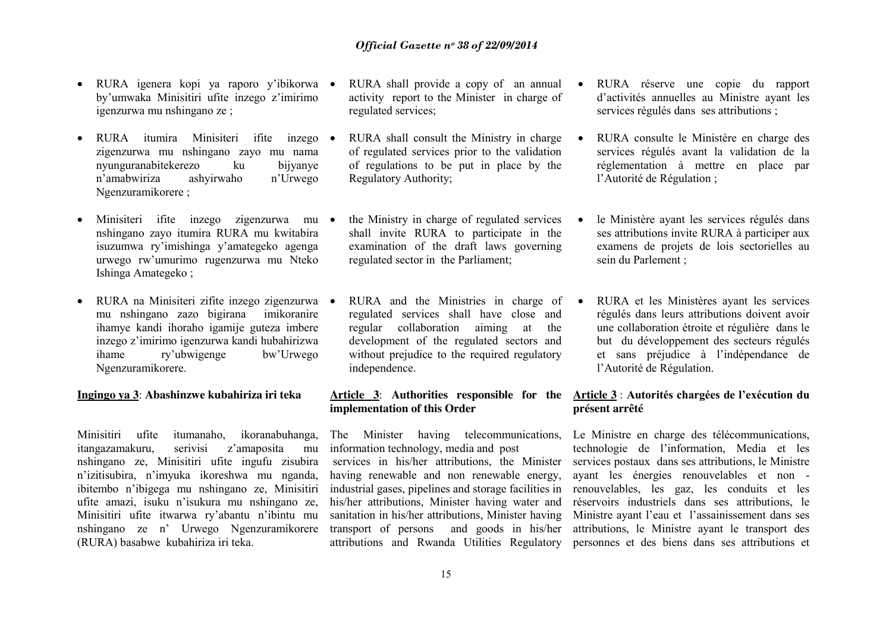- RURA igenera kopi ya raporo y'ibikorwa by'umwaka Minisitiri ufite inzego z'imirimo igenzurwa mu nshingano ze ;
- RURA itumira Minisiteri ifite inzego zigenzurwa mu nshingano zayo mu nama nyunguranabitekerezo ku bijyanye n'amabwiriza ashyirwaho n'Urwego Ngenzuramikorere ;
- Minisiteri ifite inzego zigenzurwa mu nshingano zayo itumira RURA mu kwitabira isuzumwa ry'imishinga y'amategeko agenga urwego rw'umurimo rugenzurwa mu Nteko Ishinga Amategeko ;
- RURA na Minisiteri zifite inzego zigenzurwa mu nshingano zazo bigirana imikoranire ihamye kandi ihoraho igamije guteza imbere inzego z'imirimo igenzurwa kandi hubahirizwa ihame ry'ubwigenge bw'Urwego Ngenzuramikorere.

### **Ingingo ya 3**: **Abashinzwe kubahiriza iri teka**

Minisitiri ufite itumanaho, ikoranabuhanga, itangazamakuru, serivisi z'amaposita mu nshingano ze, Minisitiri ufite ingufu zisubira n'izitisubira, n'imyuka ikoreshwa mu nganda, ibitembo n'ibigega mu nshingano ze, Minisitiri ufite amazi, isuku n'isukura mu nshingano ze, Minisitiri ufite itwarwa ry'abantu n'ibintu mu nshingano ze n' Urwego Ngenzuramikorere (RURA) basabwe kubahiriza iri teka.

- RURA shall provide a copy of an annual  $\bullet$ activity report to the Minister in charge of regulated services;
- RURA shall consult the Ministry in charge of regulated services prior to the validation of regulations to be put in place by the Regulatory Authority;
- the Ministry in charge of regulated services shall invite RURA to participate in the examination of the draft laws governing regulated sector in the Parliament;
- RURA and the Ministries in charge of  $\bullet$ regulated services shall have close and regular collaboration aiming at the development of the regulated sectors and without prejudice to the required regulatory independence.

# **implementation of this Order**

The Minister having telecommunications, information technology, media and post services in his/her attributions, the Minister having renewable and non renewable energy, industrial gases, pipelines and storage facilities in

his/her attributions, Minister having water and sanitation in his/her attributions, Minister having

- RURA réserve une copie du rapport d'activités annuelles au Ministre ayant les services régulés dans ses attributions ;
- RURA consulte le Ministère en charge des services régulés avant la validation de la réglementation à mettre en place par l'Autorité de Régulation ;
- le Ministère ayant les services régulés dans ses attributions invite RURA à participer aux examens de projets de lois sectorielles au sein du Parlement ;
- RURA et les Ministères ayant les services régulés dans leurs attributions doivent avoir une collaboration étroite et régulière dans le but du développement des secteurs régulés et sans préjudice à l'indépendance de l'Autorité de Régulation.

## **Article 3**: **Authorities responsible for the Article 3** : **Autorités chargées de l'exécution du présent arrêté**

transport of persons and goods in his/her attributions, le Ministre ayant le transport des attributions and Rwanda Utilities Regulatory personnes et des biens dans ses attributions et Le Ministre en charge des télécommunications, technologie de l'information, Media et les services postaux dans ses attributions, le Ministre ayant les énergies renouvelables et non renouvelables, les gaz, les conduits et les réservoirs industriels dans ses attributions, le Ministre ayant l'eau et l'assainissement dans ses